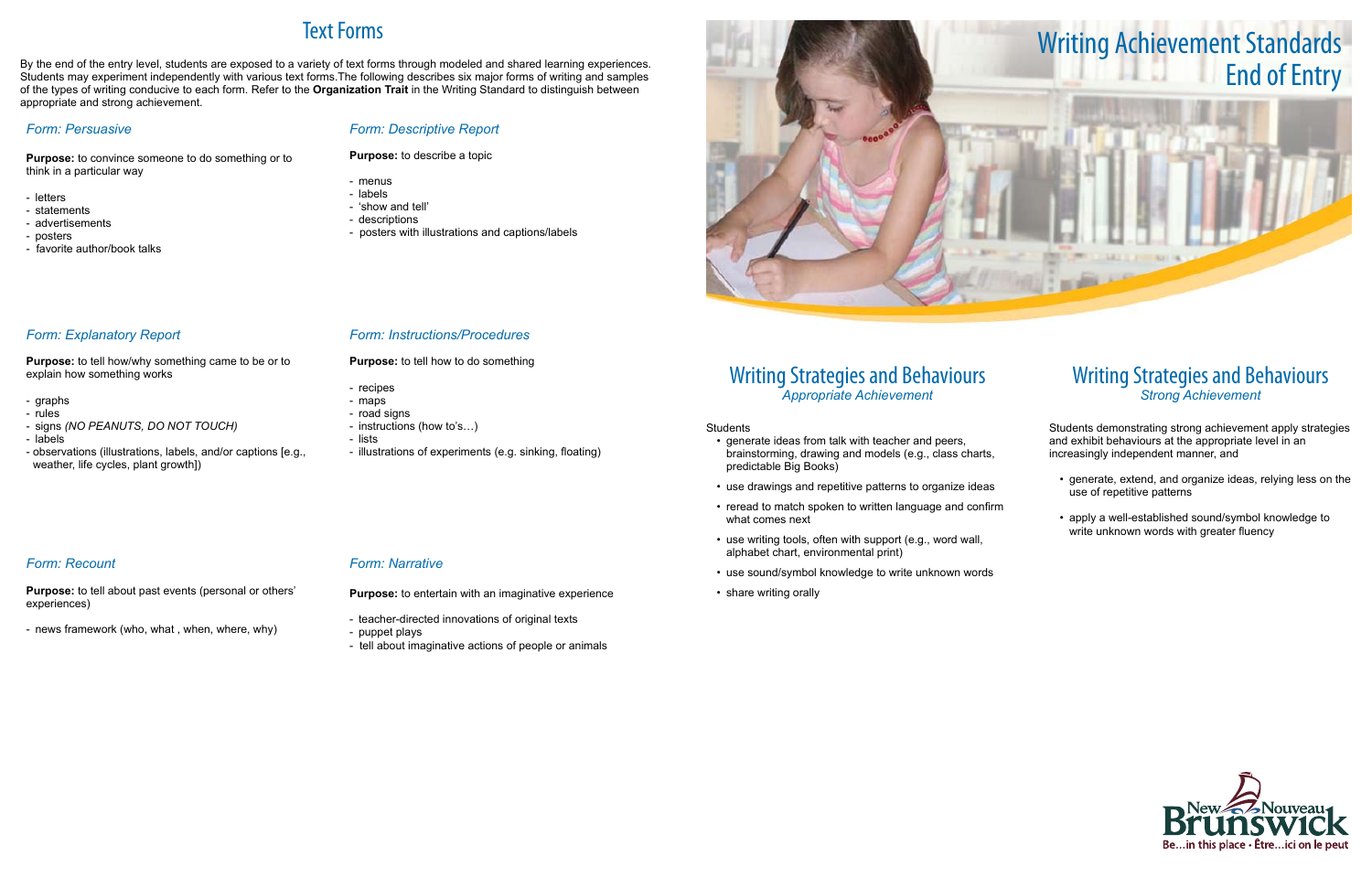## Writing Strategies and Behaviours *Appropriate Achievement*

### Students

- generate ideas from talk with teacher and peers, brainstorming, drawing and models (e.g., class charts, predictable Big Books)
- use drawings and repetitive patterns to organize ideas
- reread to match spoken to written language and confirm what comes next
- use writing tools, often with support (e.g., word wall, alphabet chart, environmental print)
- use sound/symbol knowledge to write unknown words
- share writing orally

## Writing Strategies and Behaviours *Strong Achievement*

Students demonstrating strong achievement apply strategies and exhibit behaviours at the appropriate level in an increasingly independent manner, and

- • generate, extend, and organize ideas, relying less on the use of repetitive patterns
- • apply a well-established sound/symbol knowledge to write unknown words with greater fluency



# Text Forms

- recipes
- maps
- road signs
- instructions (how to's…)
- lists
- illustrations of experiments (e.g. sinking, floating)

By the end of the entry level, students are exposed to a variety of text forms through modeled and shared learning experiences. Students may experiment independently with various text forms.The following describes six major forms of writing and samples of the types of writing conducive to each form. Refer to the **Organization Trait** in the Writing Standard to distinguish between appropriate and strong achievement.

### *Form: Persuasive*

**Purpose:** to convince someone to do something or to think in a particular way

- letters
- statements
- advertisements
- posters

- favorite author/book talks

### *Form: Descriptive Report*

**Purpose:** to describe a topic

- menus
- labels
- 'show and tell'
- descriptions
- posters with illustrations and captions/labels

*Form: Explanatory Report* 

**Purpose:** to tell how/why something came to be or to

explain how something works

- graphs - rules

- signs *(NO PEANUTS, DO NOT TOUCH)*

- labels

- observations (illustrations, labels, and/or captions [e.g.,

weather, life cycles, plant growth])

### *Form: Instructions/Procedures*

**Purpose:** to tell how to do something

## *Form: Recount*

**Purpose:** to tell about past events (personal or others' experiences)

- news framework (who, what , when, where, why)

### *Form: Narrative*

**Purpose:** to entertain with an imaginative experience

- teacher-directed innovations of original texts
- puppet plays
- tell about imaginative actions of people or animals